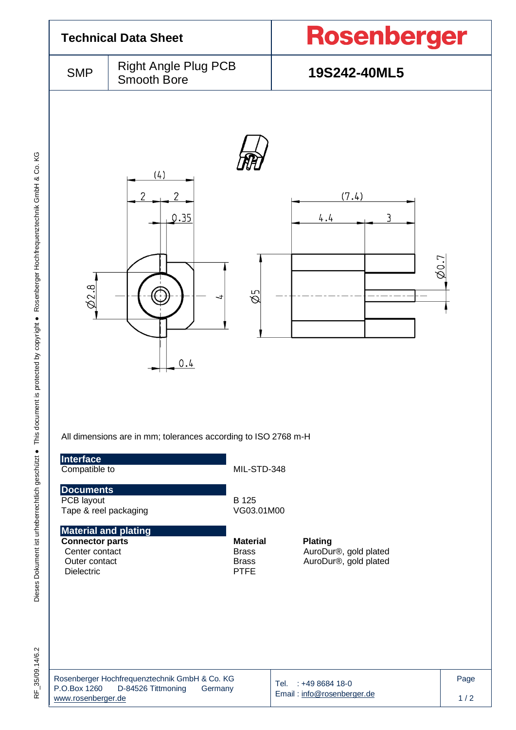

|                    | Rosenberger Hochfrequenztechnik GmbH & Co. KG |         |
|--------------------|-----------------------------------------------|---------|
| P.O.Box 1260       | D-84526 Tittmoning                            | Germany |
| www.rosenberger.de |                                               |         |

Email [: info@rosenberger.de](mailto:info@rosenberger.de)

 $1/2$